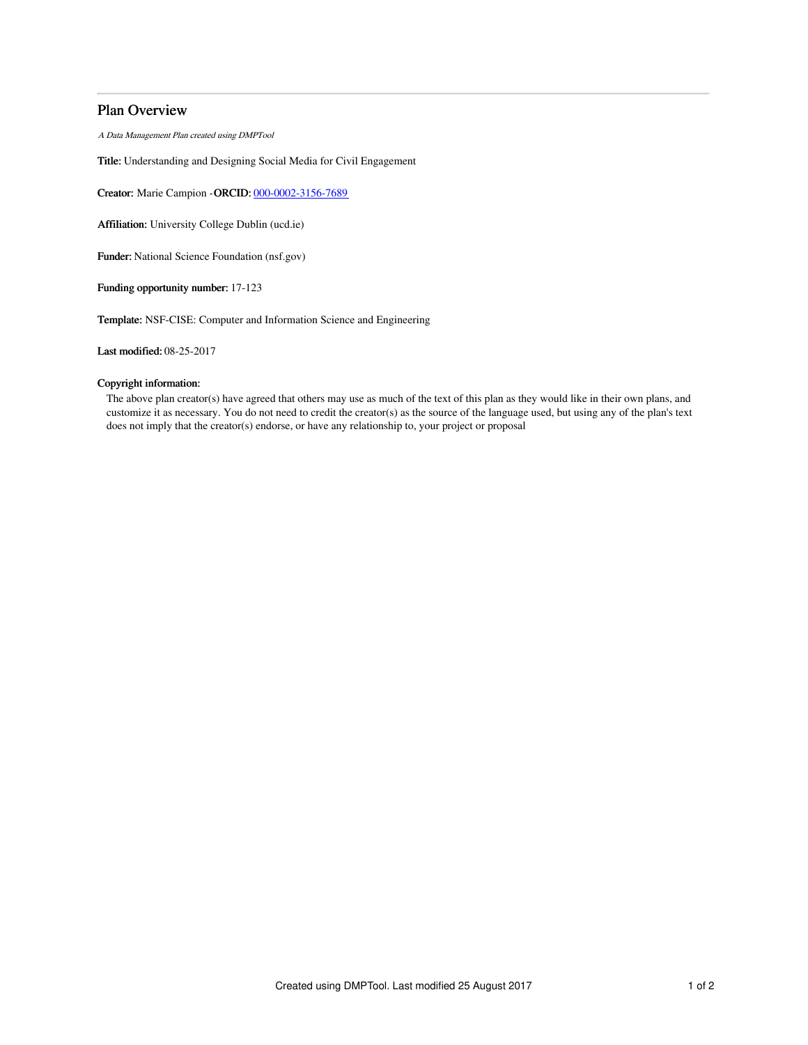## Plan Overview

A Data Management Plan created using DMPTool

Title: Understanding and Designing Social Media for Civil Engagement

Creator: Marie Campion -ORCID: [000-0002-3156-7689](https://orcid.org/000-0002-3156-7689)

Affiliation: University College Dublin (ucd.ie)

Funder: National Science Foundation (nsf.gov)

Funding opportunity number: 17-123

Template: NSF-CISE: Computer and Information Science and Engineering

Last modified: 08-25-2017

## Copyright information:

The above plan creator(s) have agreed that others may use as much of the text of this plan as they would like in their own plans, and customize it as necessary. You do not need to credit the creator(s) as the source of the language used, but using any of the plan's text does not imply that the creator(s) endorse, or have any relationship to, your project or proposal